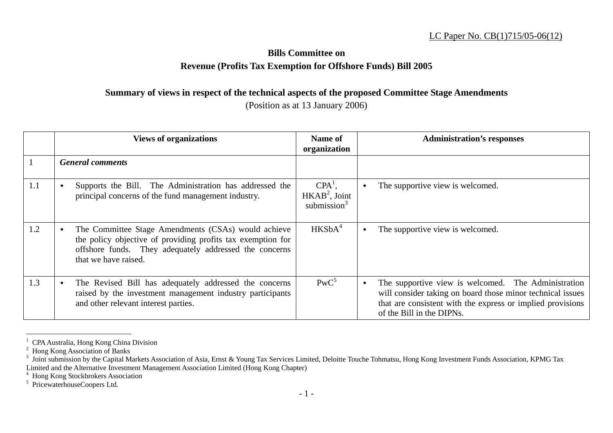## LC Paper No. CB(1)715/05-06(12)

## **Bills Committee on Revenue (Profits Tax Exemption for Offshore Funds) Bill 2005**

## **Summary of views in respect of the technical aspects of the proposed Committee Stage Amendments**

## (Position as at 13 January 2006)

|     | <b>Views of organizations</b>                                                                                                                                                                        | Name of<br>organization                        | <b>Administration's responses</b>                                                                                                                                                                            |
|-----|------------------------------------------------------------------------------------------------------------------------------------------------------------------------------------------------------|------------------------------------------------|--------------------------------------------------------------------------------------------------------------------------------------------------------------------------------------------------------------|
|     | <b>General comments</b>                                                                                                                                                                              |                                                |                                                                                                                                                                                                              |
| 1.1 | Supports the Bill. The Administration has addressed the<br>principal concerns of the fund management industry.                                                                                       | $CPA^1$ ,<br>$HKAB2$ , Joint<br>submission $3$ | The supportive view is welcomed.                                                                                                                                                                             |
| 1.2 | The Committee Stage Amendments (CSAs) would achieve<br>the policy objective of providing profits tax exemption for<br>offshore funds. They adequately addressed the concerns<br>that we have raised. | HKSbA <sup>4</sup>                             | The supportive view is welcomed.                                                                                                                                                                             |
| 1.3 | The Revised Bill has adequately addressed the concerns<br>raised by the investment management industry participants<br>and other relevant interest parties.                                          | $PWC^5$                                        | The supportive view is welcomed. The Administration<br>will consider taking on board those minor technical issues<br>that are consistent with the express or implied provisions<br>of the Bill in the DIPNs. |

<sup>&</sup>lt;sup>1</sup> CPA Australia, Hong Kong China Division

4 Hong Kong Stockbrokers Association

<sup>&</sup>lt;sup>2</sup> Hong Kong Association of Banks

 $3$  Joint submission by the Capital Markets Association of Asia, Ernst & Young Tax Services Limited, Deloitte Touche Tohmatsu, Hong Kong Investment Funds Association, KPMG Tax Limited and the Alternative Investment Management Association Limited (Hong Kong Chapter)

<sup>5</sup> PricewaterhouseCoopers Ltd.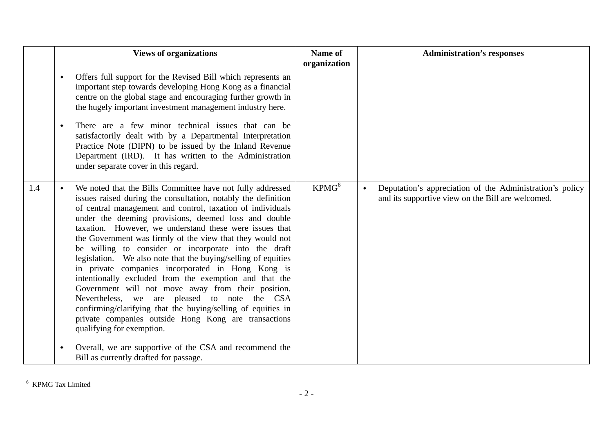|     |                 | <b>Views of organizations</b>                                                                                                                                                                                                                                                                                                                                                                                                                                                                                                                                                                                                                                                                                                                                                                                                                                                | Name of<br>organization | <b>Administration's responses</b>                                                                                                |
|-----|-----------------|------------------------------------------------------------------------------------------------------------------------------------------------------------------------------------------------------------------------------------------------------------------------------------------------------------------------------------------------------------------------------------------------------------------------------------------------------------------------------------------------------------------------------------------------------------------------------------------------------------------------------------------------------------------------------------------------------------------------------------------------------------------------------------------------------------------------------------------------------------------------------|-------------------------|----------------------------------------------------------------------------------------------------------------------------------|
|     | $\blacklozenge$ | Offers full support for the Revised Bill which represents an<br>important step towards developing Hong Kong as a financial<br>centre on the global stage and encouraging further growth in<br>the hugely important investment management industry here.                                                                                                                                                                                                                                                                                                                                                                                                                                                                                                                                                                                                                      |                         |                                                                                                                                  |
|     | ٠               | There are a few minor technical issues that can be<br>satisfactorily dealt with by a Departmental Interpretation<br>Practice Note (DIPN) to be issued by the Inland Revenue<br>Department (IRD). It has written to the Administration<br>under separate cover in this regard.                                                                                                                                                                                                                                                                                                                                                                                                                                                                                                                                                                                                |                         |                                                                                                                                  |
| 1.4 |                 | We noted that the Bills Committee have not fully addressed<br>issues raised during the consultation, notably the definition<br>of central management and control, taxation of individuals<br>under the deeming provisions, deemed loss and double<br>taxation. However, we understand these were issues that<br>the Government was firmly of the view that they would not<br>be willing to consider or incorporate into the draft<br>legislation. We also note that the buying/selling of equities<br>in private companies incorporated in Hong Kong is<br>intentionally excluded from the exemption and that the<br>Government will not move away from their position.<br>Nevertheless, we are pleased to note the CSA<br>confirming/clarifying that the buying/selling of equities in<br>private companies outside Hong Kong are transactions<br>qualifying for exemption. | KPMG <sup>6</sup>       | Deputation's appreciation of the Administration's policy<br>$\blacklozenge$<br>and its supportive view on the Bill are welcomed. |
|     | ٠               | Overall, we are supportive of the CSA and recommend the<br>Bill as currently drafted for passage.                                                                                                                                                                                                                                                                                                                                                                                                                                                                                                                                                                                                                                                                                                                                                                            |                         |                                                                                                                                  |

 $^{\rm 6}$  KPMG Tax Limited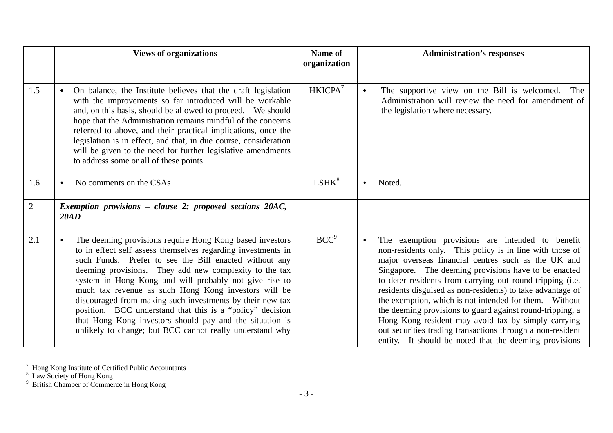|                | <b>Views of organizations</b>                                                                                                                                                                                                                                                                                                                                                                                                                                                                                                                                                                                                 | Name of<br>organization | <b>Administration's responses</b>                                                                                                                                                                                                                                                                                                                                                                                                                                                                                                                                                                                                                                 |
|----------------|-------------------------------------------------------------------------------------------------------------------------------------------------------------------------------------------------------------------------------------------------------------------------------------------------------------------------------------------------------------------------------------------------------------------------------------------------------------------------------------------------------------------------------------------------------------------------------------------------------------------------------|-------------------------|-------------------------------------------------------------------------------------------------------------------------------------------------------------------------------------------------------------------------------------------------------------------------------------------------------------------------------------------------------------------------------------------------------------------------------------------------------------------------------------------------------------------------------------------------------------------------------------------------------------------------------------------------------------------|
|                |                                                                                                                                                                                                                                                                                                                                                                                                                                                                                                                                                                                                                               |                         |                                                                                                                                                                                                                                                                                                                                                                                                                                                                                                                                                                                                                                                                   |
| 1.5            | On balance, the Institute believes that the draft legislation<br>with the improvements so far introduced will be workable<br>and, on this basis, should be allowed to proceed. We should<br>hope that the Administration remains mindful of the concerns<br>referred to above, and their practical implications, once the<br>legislation is in effect, and that, in due course, consideration<br>will be given to the need for further legislative amendments<br>to address some or all of these points.                                                                                                                      | HKICPA <sup>7</sup>     | The supportive view on the Bill is welcomed.<br>The<br>Administration will review the need for amendment of<br>the legislation where necessary.                                                                                                                                                                                                                                                                                                                                                                                                                                                                                                                   |
| 1.6            | No comments on the CSAs<br>$\bullet$                                                                                                                                                                                                                                                                                                                                                                                                                                                                                                                                                                                          | LSHK <sup>8</sup>       | Noted.<br>٠                                                                                                                                                                                                                                                                                                                                                                                                                                                                                                                                                                                                                                                       |
| $\overline{2}$ | Exemption provisions - clause 2: proposed sections 20AC,<br>20AD                                                                                                                                                                                                                                                                                                                                                                                                                                                                                                                                                              |                         |                                                                                                                                                                                                                                                                                                                                                                                                                                                                                                                                                                                                                                                                   |
| 2.1            | The deeming provisions require Hong Kong based investors<br>$\bullet$<br>to in effect self assess themselves regarding investments in<br>such Funds. Prefer to see the Bill enacted without any<br>deeming provisions. They add new complexity to the tax<br>system in Hong Kong and will probably not give rise to<br>much tax revenue as such Hong Kong investors will be<br>discouraged from making such investments by their new tax<br>position. BCC understand that this is a "policy" decision<br>that Hong Kong investors should pay and the situation is<br>unlikely to change; but BCC cannot really understand why | BCC <sup>9</sup>        | The exemption provisions are intended to benefit<br>٠<br>non-residents only. This policy is in line with those of<br>major overseas financial centres such as the UK and<br>Singapore. The deeming provisions have to be enacted<br>to deter residents from carrying out round-tripping (i.e.<br>residents disguised as non-residents) to take advantage of<br>the exemption, which is not intended for them. Without<br>the deeming provisions to guard against round-tripping, a<br>Hong Kong resident may avoid tax by simply carrying<br>out securities trading transactions through a non-resident<br>entity. It should be noted that the deeming provisions |

 $7$  Hong Kong Institute of Certified Public Accountants

<sup>&</sup>lt;sup>8</sup> Law Society of Hong Kong

<sup>&</sup>lt;sup>9</sup> British Chamber of Commerce in Hong Kong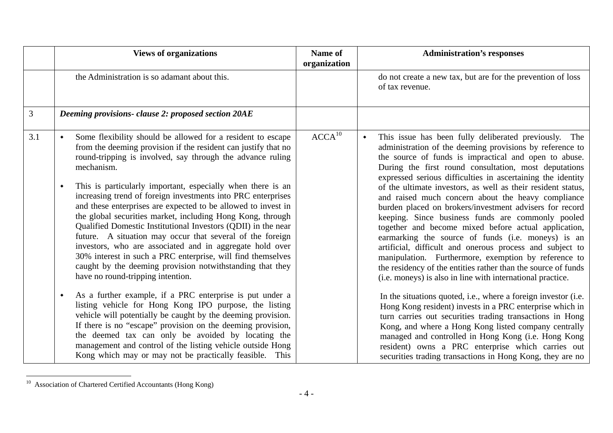|     | <b>Views of organizations</b>                                                                                                                                                                                                                                                                                                                                                                                                                                                                                                                                                                                                                                                                                                                                                                                                                                                                                                                                                                                                                                                                                                                                                                                                                                          | Name of<br>organization | <b>Administration's responses</b>                                                                                                                                                                                                                                                                                                                                                                                                                                                                                                                                                                                                                                                                                                                                                                                                                                                                                                                                                                                                                                                                                                                                                                                                                                                                                                                       |
|-----|------------------------------------------------------------------------------------------------------------------------------------------------------------------------------------------------------------------------------------------------------------------------------------------------------------------------------------------------------------------------------------------------------------------------------------------------------------------------------------------------------------------------------------------------------------------------------------------------------------------------------------------------------------------------------------------------------------------------------------------------------------------------------------------------------------------------------------------------------------------------------------------------------------------------------------------------------------------------------------------------------------------------------------------------------------------------------------------------------------------------------------------------------------------------------------------------------------------------------------------------------------------------|-------------------------|---------------------------------------------------------------------------------------------------------------------------------------------------------------------------------------------------------------------------------------------------------------------------------------------------------------------------------------------------------------------------------------------------------------------------------------------------------------------------------------------------------------------------------------------------------------------------------------------------------------------------------------------------------------------------------------------------------------------------------------------------------------------------------------------------------------------------------------------------------------------------------------------------------------------------------------------------------------------------------------------------------------------------------------------------------------------------------------------------------------------------------------------------------------------------------------------------------------------------------------------------------------------------------------------------------------------------------------------------------|
|     | the Administration is so adamant about this.                                                                                                                                                                                                                                                                                                                                                                                                                                                                                                                                                                                                                                                                                                                                                                                                                                                                                                                                                                                                                                                                                                                                                                                                                           |                         | do not create a new tax, but are for the prevention of loss<br>of tax revenue.                                                                                                                                                                                                                                                                                                                                                                                                                                                                                                                                                                                                                                                                                                                                                                                                                                                                                                                                                                                                                                                                                                                                                                                                                                                                          |
| 3   | Deeming provisions- clause 2: proposed section 20AE                                                                                                                                                                                                                                                                                                                                                                                                                                                                                                                                                                                                                                                                                                                                                                                                                                                                                                                                                                                                                                                                                                                                                                                                                    |                         |                                                                                                                                                                                                                                                                                                                                                                                                                                                                                                                                                                                                                                                                                                                                                                                                                                                                                                                                                                                                                                                                                                                                                                                                                                                                                                                                                         |
| 3.1 | Some flexibility should be allowed for a resident to escape<br>from the deeming provision if the resident can justify that no<br>round-tripping is involved, say through the advance ruling<br>mechanism.<br>This is particularly important, especially when there is an<br>increasing trend of foreign investments into PRC enterprises<br>and these enterprises are expected to be allowed to invest in<br>the global securities market, including Hong Kong, through<br>Qualified Domestic Institutional Investors (QDII) in the near<br>future. A situation may occur that several of the foreign<br>investors, who are associated and in aggregate hold over<br>30% interest in such a PRC enterprise, will find themselves<br>caught by the deeming provision notwithstanding that they<br>have no round-tripping intention.<br>As a further example, if a PRC enterprise is put under a<br>listing vehicle for Hong Kong IPO purpose, the listing<br>vehicle will potentially be caught by the deeming provision.<br>If there is no "escape" provision on the deeming provision,<br>the deemed tax can only be avoided by locating the<br>management and control of the listing vehicle outside Hong<br>Kong which may or may not be practically feasible. This | ACCA <sup>10</sup>      | This issue has been fully deliberated previously. The<br>$\blacklozenge$<br>administration of the deeming provisions by reference to<br>the source of funds is impractical and open to abuse.<br>During the first round consultation, most deputations<br>expressed serious difficulties in ascertaining the identity<br>of the ultimate investors, as well as their resident status,<br>and raised much concern about the heavy compliance<br>burden placed on brokers/investment advisers for record<br>keeping. Since business funds are commonly pooled<br>together and become mixed before actual application,<br>earmarking the source of funds (i.e. moneys) is an<br>artificial, difficult and onerous process and subject to<br>manipulation. Furthermore, exemption by reference to<br>the residency of the entities rather than the source of funds<br>(i.e. moneys) is also in line with international practice.<br>In the situations quoted, i.e., where a foreign investor (i.e.<br>Hong Kong resident) invests in a PRC enterprise which in<br>turn carries out securities trading transactions in Hong<br>Kong, and where a Hong Kong listed company centrally<br>managed and controlled in Hong Kong (i.e. Hong Kong<br>resident) owns a PRC enterprise which carries out<br>securities trading transactions in Hong Kong, they are no |

<sup>&</sup>lt;sup>10</sup> Association of Chartered Certified Accountants (Hong Kong)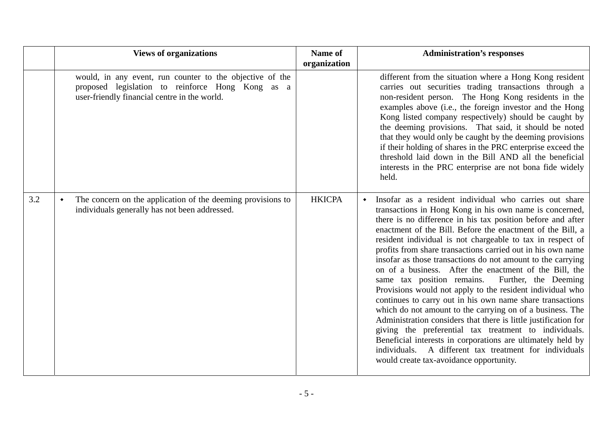|     | <b>Views of organizations</b>                                                                                                                                | Name of<br>organization | <b>Administration's responses</b>                                                                                                                                                                                                                                                                                                                                                                                                                                                                                                                                                                                                                                                                                                                                                                                                                                                                                                                                                                                                                 |
|-----|--------------------------------------------------------------------------------------------------------------------------------------------------------------|-------------------------|---------------------------------------------------------------------------------------------------------------------------------------------------------------------------------------------------------------------------------------------------------------------------------------------------------------------------------------------------------------------------------------------------------------------------------------------------------------------------------------------------------------------------------------------------------------------------------------------------------------------------------------------------------------------------------------------------------------------------------------------------------------------------------------------------------------------------------------------------------------------------------------------------------------------------------------------------------------------------------------------------------------------------------------------------|
|     | would, in any event, run counter to the objective of the<br>proposed legislation to reinforce Hong Kong as a<br>user-friendly financial centre in the world. |                         | different from the situation where a Hong Kong resident<br>carries out securities trading transactions through a<br>non-resident person. The Hong Kong residents in the<br>examples above (i.e., the foreign investor and the Hong<br>Kong listed company respectively) should be caught by<br>the deeming provisions. That said, it should be noted<br>that they would only be caught by the deeming provisions<br>if their holding of shares in the PRC enterprise exceed the<br>threshold laid down in the Bill AND all the beneficial<br>interests in the PRC enterprise are not bona fide widely<br>held.                                                                                                                                                                                                                                                                                                                                                                                                                                    |
| 3.2 | The concern on the application of the deeming provisions to<br>$\blacklozenge$<br>individuals generally has not been addressed.                              | <b>HKICPA</b>           | Insofar as a resident individual who carries out share<br>transactions in Hong Kong in his own name is concerned,<br>there is no difference in his tax position before and after<br>enactment of the Bill. Before the enactment of the Bill, a<br>resident individual is not chargeable to tax in respect of<br>profits from share transactions carried out in his own name<br>insofar as those transactions do not amount to the carrying<br>on of a business. After the enactment of the Bill, the<br>same tax position remains. Further, the Deeming<br>Provisions would not apply to the resident individual who<br>continues to carry out in his own name share transactions<br>which do not amount to the carrying on of a business. The<br>Administration considers that there is little justification for<br>giving the preferential tax treatment to individuals.<br>Beneficial interests in corporations are ultimately held by<br>A different tax treatment for individuals<br>individuals.<br>would create tax-avoidance opportunity. |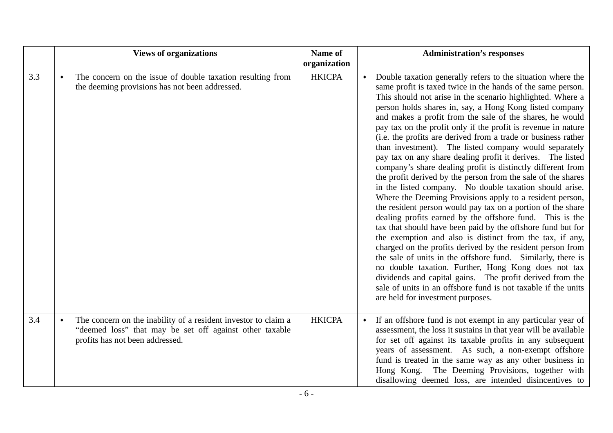|     | <b>Views of organizations</b>                                                                                                                                                   | Name of<br>organization | <b>Administration's responses</b>                                                                                                                                                                                                                                                                                                                                                                                                                                                                                                                                                                                                                                                                                                                                                                                                                                                                                                                                                                                                                                                                                                                                                                                                                                                                                                                                                                                                                             |
|-----|---------------------------------------------------------------------------------------------------------------------------------------------------------------------------------|-------------------------|---------------------------------------------------------------------------------------------------------------------------------------------------------------------------------------------------------------------------------------------------------------------------------------------------------------------------------------------------------------------------------------------------------------------------------------------------------------------------------------------------------------------------------------------------------------------------------------------------------------------------------------------------------------------------------------------------------------------------------------------------------------------------------------------------------------------------------------------------------------------------------------------------------------------------------------------------------------------------------------------------------------------------------------------------------------------------------------------------------------------------------------------------------------------------------------------------------------------------------------------------------------------------------------------------------------------------------------------------------------------------------------------------------------------------------------------------------------|
| 3.3 | The concern on the issue of double taxation resulting from<br>$\blacklozenge$<br>the deeming provisions has not been addressed.                                                 | <b>HKICPA</b>           | Double taxation generally refers to the situation where the<br>$\blacklozenge$<br>same profit is taxed twice in the hands of the same person.<br>This should not arise in the scenario highlighted. Where a<br>person holds shares in, say, a Hong Kong listed company<br>and makes a profit from the sale of the shares, he would<br>pay tax on the profit only if the profit is revenue in nature<br>(i.e. the profits are derived from a trade or business rather<br>than investment). The listed company would separately<br>pay tax on any share dealing profit it derives. The listed<br>company's share dealing profit is distinctly different from<br>the profit derived by the person from the sale of the shares<br>in the listed company. No double taxation should arise.<br>Where the Deeming Provisions apply to a resident person,<br>the resident person would pay tax on a portion of the share<br>dealing profits earned by the offshore fund. This is the<br>tax that should have been paid by the offshore fund but for<br>the exemption and also is distinct from the tax, if any,<br>charged on the profits derived by the resident person from<br>the sale of units in the offshore fund. Similarly, there is<br>no double taxation. Further, Hong Kong does not tax<br>dividends and capital gains. The profit derived from the<br>sale of units in an offshore fund is not taxable if the units<br>are held for investment purposes. |
| 3.4 | The concern on the inability of a resident investor to claim a<br>$\blacklozenge$<br>"deemed loss" that may be set off against other taxable<br>profits has not been addressed. | <b>HKICPA</b>           | If an offshore fund is not exempt in any particular year of<br>assessment, the loss it sustains in that year will be available<br>for set off against its taxable profits in any subsequent<br>years of assessment. As such, a non-exempt offshore<br>fund is treated in the same way as any other business in<br>The Deeming Provisions, together with<br>Hong Kong.<br>disallowing deemed loss, are intended disincentives to                                                                                                                                                                                                                                                                                                                                                                                                                                                                                                                                                                                                                                                                                                                                                                                                                                                                                                                                                                                                                               |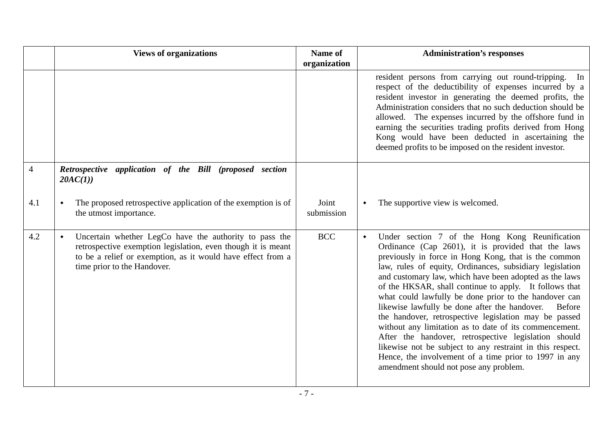|     | <b>Views of organizations</b>                                                                                                                                                                                        | Name of<br>organization | <b>Administration's responses</b>                                                                                                                                                                                                                                                                                                                                                                                                                                                                                                                                                                                                                                                                                                                                                                                                     |
|-----|----------------------------------------------------------------------------------------------------------------------------------------------------------------------------------------------------------------------|-------------------------|---------------------------------------------------------------------------------------------------------------------------------------------------------------------------------------------------------------------------------------------------------------------------------------------------------------------------------------------------------------------------------------------------------------------------------------------------------------------------------------------------------------------------------------------------------------------------------------------------------------------------------------------------------------------------------------------------------------------------------------------------------------------------------------------------------------------------------------|
|     |                                                                                                                                                                                                                      |                         | resident persons from carrying out round-tripping.<br>In<br>respect of the deductibility of expenses incurred by a<br>resident investor in generating the deemed profits, the<br>Administration considers that no such deduction should be<br>allowed. The expenses incurred by the offshore fund in<br>earning the securities trading profits derived from Hong<br>Kong would have been deducted in ascertaining the<br>deemed profits to be imposed on the resident investor.                                                                                                                                                                                                                                                                                                                                                       |
| 4   | Retrospective application of the Bill (proposed section<br>20AC(1)                                                                                                                                                   |                         |                                                                                                                                                                                                                                                                                                                                                                                                                                                                                                                                                                                                                                                                                                                                                                                                                                       |
| 4.1 | The proposed retrospective application of the exemption is of<br>the utmost importance.                                                                                                                              | Joint<br>submission     | The supportive view is welcomed.<br>$\blacklozenge$                                                                                                                                                                                                                                                                                                                                                                                                                                                                                                                                                                                                                                                                                                                                                                                   |
| 4.2 | Uncertain whether LegCo have the authority to pass the<br>retrospective exemption legislation, even though it is meant<br>to be a relief or exemption, as it would have effect from a<br>time prior to the Handover. | <b>BCC</b>              | Under section 7 of the Hong Kong Reunification<br>$\blacklozenge$<br>Ordinance (Cap 2601), it is provided that the laws<br>previously in force in Hong Kong, that is the common<br>law, rules of equity, Ordinances, subsidiary legislation<br>and customary law, which have been adopted as the laws<br>of the HKSAR, shall continue to apply. It follows that<br>what could lawfully be done prior to the handover can<br>likewise lawfully be done after the handover.<br><b>Before</b><br>the handover, retrospective legislation may be passed<br>without any limitation as to date of its commencement.<br>After the handover, retrospective legislation should<br>likewise not be subject to any restraint in this respect.<br>Hence, the involvement of a time prior to 1997 in any<br>amendment should not pose any problem. |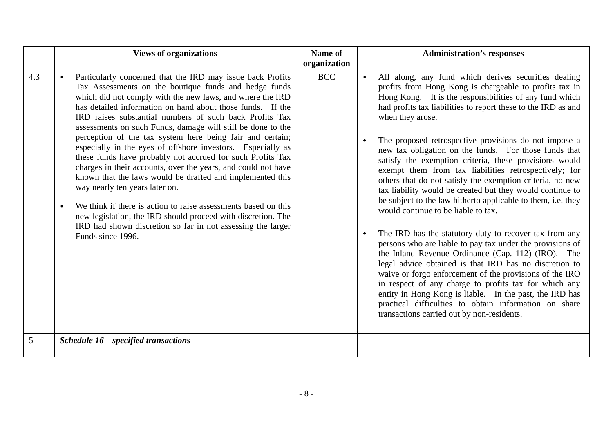|          | <b>Views of organizations</b>                                                                                                                                                                                                                                                                                                                                                                                                                                                                                                                                                                                                                                                                                                                                                                                                                                                                                                                                                                         | Name of<br>organization | <b>Administration's responses</b>                                                                                                                                                                                                                                                                                                                                                                                                                                                                                                                                                                                                                                                                                                                                                                                                                                                                                                                                                                                                                                                                                                                                                                                                                                                                                          |
|----------|-------------------------------------------------------------------------------------------------------------------------------------------------------------------------------------------------------------------------------------------------------------------------------------------------------------------------------------------------------------------------------------------------------------------------------------------------------------------------------------------------------------------------------------------------------------------------------------------------------------------------------------------------------------------------------------------------------------------------------------------------------------------------------------------------------------------------------------------------------------------------------------------------------------------------------------------------------------------------------------------------------|-------------------------|----------------------------------------------------------------------------------------------------------------------------------------------------------------------------------------------------------------------------------------------------------------------------------------------------------------------------------------------------------------------------------------------------------------------------------------------------------------------------------------------------------------------------------------------------------------------------------------------------------------------------------------------------------------------------------------------------------------------------------------------------------------------------------------------------------------------------------------------------------------------------------------------------------------------------------------------------------------------------------------------------------------------------------------------------------------------------------------------------------------------------------------------------------------------------------------------------------------------------------------------------------------------------------------------------------------------------|
| 4.3<br>5 | Particularly concerned that the IRD may issue back Profits<br>Tax Assessments on the boutique funds and hedge funds<br>which did not comply with the new laws, and where the IRD<br>has detailed information on hand about those funds. If the<br>IRD raises substantial numbers of such back Profits Tax<br>assessments on such Funds, damage will still be done to the<br>perception of the tax system here being fair and certain;<br>especially in the eyes of offshore investors. Especially as<br>these funds have probably not accrued for such Profits Tax<br>charges in their accounts, over the years, and could not have<br>known that the laws would be drafted and implemented this<br>way nearly ten years later on.<br>We think if there is action to raise assessments based on this<br>٠<br>new legislation, the IRD should proceed with discretion. The<br>IRD had shown discretion so far in not assessing the larger<br>Funds since 1996.<br>Schedule 16 – specified transactions | <b>BCC</b>              | All along, any fund which derives securities dealing<br>$\blacklozenge$<br>profits from Hong Kong is chargeable to profits tax in<br>Hong Kong. It is the responsibilities of any fund which<br>had profits tax liabilities to report these to the IRD as and<br>when they arose.<br>The proposed retrospective provisions do not impose a<br>$\blacklozenge$<br>new tax obligation on the funds. For those funds that<br>satisfy the exemption criteria, these provisions would<br>exempt them from tax liabilities retrospectively; for<br>others that do not satisfy the exemption criteria, no new<br>tax liability would be created but they would continue to<br>be subject to the law hitherto applicable to them, i.e. they<br>would continue to be liable to tax.<br>The IRD has the statutory duty to recover tax from any<br>$\blacklozenge$<br>persons who are liable to pay tax under the provisions of<br>the Inland Revenue Ordinance (Cap. 112) (IRO). The<br>legal advice obtained is that IRD has no discretion to<br>waive or forgo enforcement of the provisions of the IRO<br>in respect of any charge to profits tax for which any<br>entity in Hong Kong is liable. In the past, the IRD has<br>practical difficulties to obtain information on share<br>transactions carried out by non-residents. |
|          |                                                                                                                                                                                                                                                                                                                                                                                                                                                                                                                                                                                                                                                                                                                                                                                                                                                                                                                                                                                                       |                         |                                                                                                                                                                                                                                                                                                                                                                                                                                                                                                                                                                                                                                                                                                                                                                                                                                                                                                                                                                                                                                                                                                                                                                                                                                                                                                                            |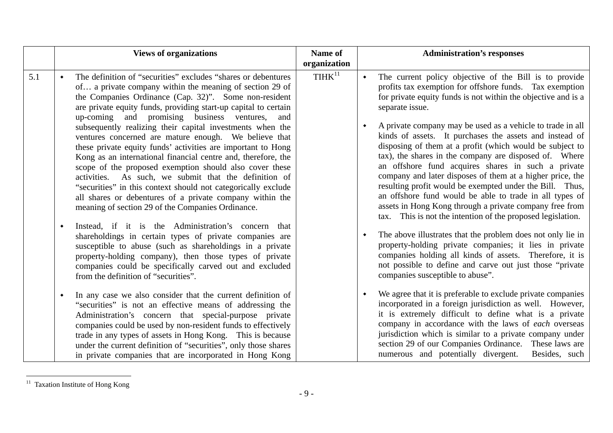|     | <b>Views of organizations</b>                                                                                                                                                                                                                                                                                                                                                                                                                                                                                                                                                                                                                                                                                                                                                                                                                                                                                                                                                                                                                                                                                                                                                                                            | Name of<br>organization | <b>Administration's responses</b>                                                                                                                                                                                                                                                                                                                                                                                                                                                                                                                                                                                                                                                                                                                                                                                                                                                                                                                                                                                                                                                                                                |
|-----|--------------------------------------------------------------------------------------------------------------------------------------------------------------------------------------------------------------------------------------------------------------------------------------------------------------------------------------------------------------------------------------------------------------------------------------------------------------------------------------------------------------------------------------------------------------------------------------------------------------------------------------------------------------------------------------------------------------------------------------------------------------------------------------------------------------------------------------------------------------------------------------------------------------------------------------------------------------------------------------------------------------------------------------------------------------------------------------------------------------------------------------------------------------------------------------------------------------------------|-------------------------|----------------------------------------------------------------------------------------------------------------------------------------------------------------------------------------------------------------------------------------------------------------------------------------------------------------------------------------------------------------------------------------------------------------------------------------------------------------------------------------------------------------------------------------------------------------------------------------------------------------------------------------------------------------------------------------------------------------------------------------------------------------------------------------------------------------------------------------------------------------------------------------------------------------------------------------------------------------------------------------------------------------------------------------------------------------------------------------------------------------------------------|
| 5.1 | The definition of "securities" excludes "shares or debentures"<br>of a private company within the meaning of section 29 of<br>the Companies Ordinance (Cap. 32)". Some non-resident<br>are private equity funds, providing start-up capital to certain<br>up-coming and promising business ventures,<br>and<br>subsequently realizing their capital investments when the<br>ventures concerned are mature enough. We believe that<br>these private equity funds' activities are important to Hong<br>Kong as an international financial centre and, therefore, the<br>scope of the proposed exemption should also cover these<br>activities. As such, we submit that the definition of<br>"securities" in this context should not categorically exclude<br>all shares or debentures of a private company within the<br>meaning of section 29 of the Companies Ordinance.<br>Instead, if it is the Administration's concern that<br>٠<br>shareholdings in certain types of private companies are<br>susceptible to abuse (such as shareholdings in a private<br>property-holding company), then those types of private<br>companies could be specifically carved out and excluded<br>from the definition of "securities". | THHK <sup>11</sup>      | The current policy objective of the Bill is to provide<br>$\blacklozenge$<br>profits tax exemption for offshore funds. Tax exemption<br>for private equity funds is not within the objective and is a<br>separate issue.<br>A private company may be used as a vehicle to trade in all<br>kinds of assets. It purchases the assets and instead of<br>disposing of them at a profit (which would be subject to<br>tax), the shares in the company are disposed of. Where<br>an offshore fund acquires shares in such a private<br>company and later disposes of them at a higher price, the<br>resulting profit would be exempted under the Bill. Thus,<br>an offshore fund would be able to trade in all types of<br>assets in Hong Kong through a private company free from<br>tax. This is not the intention of the proposed legislation.<br>The above illustrates that the problem does not only lie in<br>property-holding private companies; it lies in private<br>companies holding all kinds of assets. Therefore, it is<br>not possible to define and carve out just those "private"<br>companies susceptible to abuse". |
|     | In any case we also consider that the current definition of<br>$\bullet$<br>"securities" is not an effective means of addressing the<br>Administration's concern that special-purpose private<br>companies could be used by non-resident funds to effectively<br>trade in any types of assets in Hong Kong. This is because<br>under the current definition of "securities", only those shares<br>in private companies that are incorporated in Hong Kong                                                                                                                                                                                                                                                                                                                                                                                                                                                                                                                                                                                                                                                                                                                                                                |                         | We agree that it is preferable to exclude private companies<br>incorporated in a foreign jurisdiction as well. However,<br>it is extremely difficult to define what is a private<br>company in accordance with the laws of each overseas<br>jurisdiction which is similar to a private company under<br>section 29 of our Companies Ordinance. These laws are<br>numerous and potentially divergent.<br>Besides, such                                                                                                                                                                                                                                                                                                                                                                                                                                                                                                                                                                                                                                                                                                            |

<sup>&</sup>lt;sup>11</sup> Taxation Institute of Hong Kong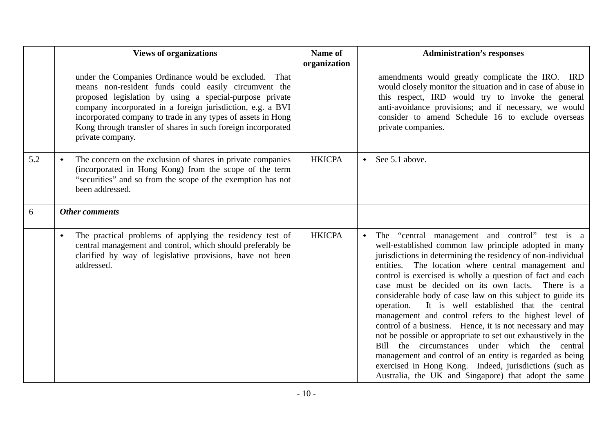|     | <b>Views of organizations</b>                                                                                                                                                                                                                                                                                                                                                              | Name of<br>organization | <b>Administration's responses</b>                                                                                                                                                                                                                                                                                                                                                                                                                                                                                                                                                                                                                                                                                                                                                                                                                                                                                  |
|-----|--------------------------------------------------------------------------------------------------------------------------------------------------------------------------------------------------------------------------------------------------------------------------------------------------------------------------------------------------------------------------------------------|-------------------------|--------------------------------------------------------------------------------------------------------------------------------------------------------------------------------------------------------------------------------------------------------------------------------------------------------------------------------------------------------------------------------------------------------------------------------------------------------------------------------------------------------------------------------------------------------------------------------------------------------------------------------------------------------------------------------------------------------------------------------------------------------------------------------------------------------------------------------------------------------------------------------------------------------------------|
|     | under the Companies Ordinance would be excluded. That<br>means non-resident funds could easily circumvent the<br>proposed legislation by using a special-purpose private<br>company incorporated in a foreign jurisdiction, e.g. a BVI<br>incorporated company to trade in any types of assets in Hong<br>Kong through transfer of shares in such foreign incorporated<br>private company. |                         | amendments would greatly complicate the IRO. IRD<br>would closely monitor the situation and in case of abuse in<br>this respect, IRD would try to invoke the general<br>anti-avoidance provisions; and if necessary, we would<br>consider to amend Schedule 16 to exclude overseas<br>private companies.                                                                                                                                                                                                                                                                                                                                                                                                                                                                                                                                                                                                           |
| 5.2 | The concern on the exclusion of shares in private companies<br>(incorporated in Hong Kong) from the scope of the term<br>"securities" and so from the scope of the exemption has not<br>been addressed.                                                                                                                                                                                    | <b>HKICPA</b>           | See 5.1 above.<br>$\bullet$                                                                                                                                                                                                                                                                                                                                                                                                                                                                                                                                                                                                                                                                                                                                                                                                                                                                                        |
| 6   | <b>Other comments</b>                                                                                                                                                                                                                                                                                                                                                                      |                         |                                                                                                                                                                                                                                                                                                                                                                                                                                                                                                                                                                                                                                                                                                                                                                                                                                                                                                                    |
|     | The practical problems of applying the residency test of<br>$\blacklozenge$<br>central management and control, which should preferably be<br>clarified by way of legislative provisions, have not been<br>addressed.                                                                                                                                                                       | <b>HKICPA</b>           | The "central management and control" test is a<br>$\blacklozenge$<br>well-established common law principle adopted in many<br>jurisdictions in determining the residency of non-individual<br>entities. The location where central management and<br>control is exercised is wholly a question of fact and each<br>case must be decided on its own facts. There is a<br>considerable body of case law on this subject to guide its<br>It is well established that the central<br>operation.<br>management and control refers to the highest level of<br>control of a business. Hence, it is not necessary and may<br>not be possible or appropriate to set out exhaustively in the<br>Bill the circumstances under which the central<br>management and control of an entity is regarded as being<br>exercised in Hong Kong. Indeed, jurisdictions (such as<br>Australia, the UK and Singapore) that adopt the same |